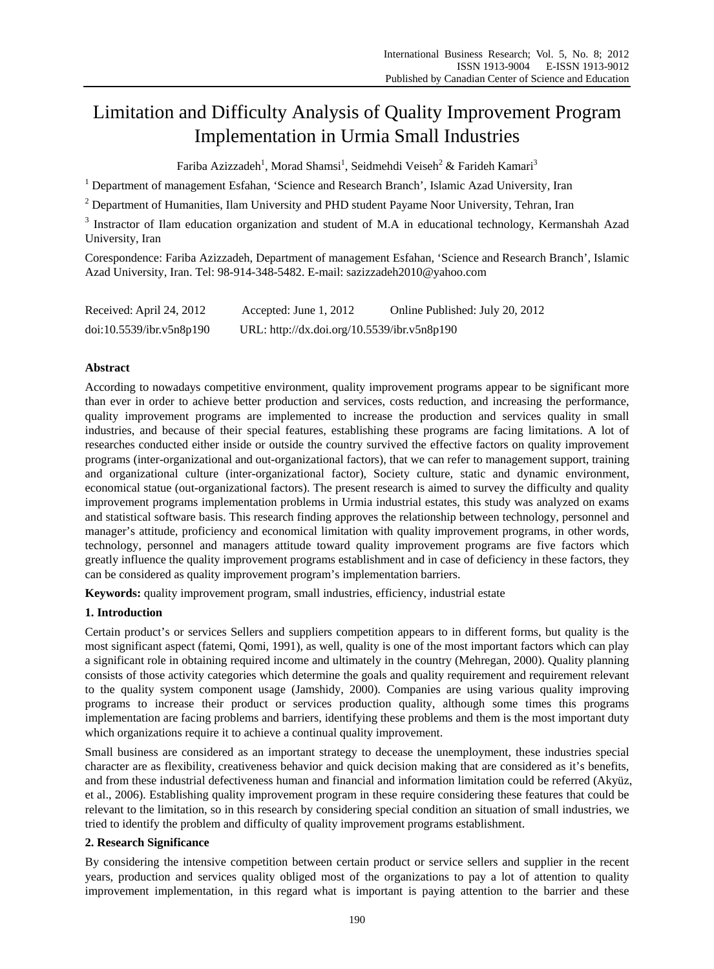# Limitation and Difficulty Analysis of Quality Improvement Program Implementation in Urmia Small Industries

Fariba Azizzadeh<sup>1</sup>, Morad Shamsi<sup>1</sup>, Seidmehdi Veiseh<sup>2</sup> & Farideh Kamari<sup>3</sup>

<sup>1</sup> Department of management Esfahan, 'Science and Research Branch', Islamic Azad University, Iran

<sup>2</sup> Department of Humanities, Ilam University and PHD student Payame Noor University, Tehran, Iran

<sup>3</sup> Instractor of Ilam education organization and student of M.A in educational technology, Kermanshah Azad University, Iran

Corespondence: Fariba Azizzadeh, Department of management Esfahan, 'Science and Research Branch', Islamic Azad University, Iran. Tel: 98-914-348-5482. E-mail: sazizzadeh2010@yahoo.com

| Received: April 24, 2012 | Accepted: June 1, 2012                      | Online Published: July 20, 2012 |
|--------------------------|---------------------------------------------|---------------------------------|
| doi:10.5539/ibr.v5n8p190 | URL: http://dx.doi.org/10.5539/ibr.v5n8p190 |                                 |

# **Abstract**

According to nowadays competitive environment, quality improvement programs appear to be significant more than ever in order to achieve better production and services, costs reduction, and increasing the performance, quality improvement programs are implemented to increase the production and services quality in small industries, and because of their special features, establishing these programs are facing limitations. A lot of researches conducted either inside or outside the country survived the effective factors on quality improvement programs (inter-organizational and out-organizational factors), that we can refer to management support, training and organizational culture (inter-organizational factor), Society culture, static and dynamic environment, economical statue (out-organizational factors). The present research is aimed to survey the difficulty and quality improvement programs implementation problems in Urmia industrial estates, this study was analyzed on exams and statistical software basis. This research finding approves the relationship between technology, personnel and manager's attitude, proficiency and economical limitation with quality improvement programs, in other words, technology, personnel and managers attitude toward quality improvement programs are five factors which greatly influence the quality improvement programs establishment and in case of deficiency in these factors, they can be considered as quality improvement program's implementation barriers.

**Keywords:** quality improvement program, small industries, efficiency, industrial estate

# **1. Introduction**

Certain product's or services Sellers and suppliers competition appears to in different forms, but quality is the most significant aspect (fatemi, Qomi, 1991), as well, quality is one of the most important factors which can play a significant role in obtaining required income and ultimately in the country (Mehregan, 2000). Quality planning consists of those activity categories which determine the goals and quality requirement and requirement relevant to the quality system component usage (Jamshidy, 2000). Companies are using various quality improving programs to increase their product or services production quality, although some times this programs implementation are facing problems and barriers, identifying these problems and them is the most important duty which organizations require it to achieve a continual quality improvement.

Small business are considered as an important strategy to decease the unemployment, these industries special character are as flexibility, creativeness behavior and quick decision making that are considered as it's benefits, and from these industrial defectiveness human and financial and information limitation could be referred (Akyüz, et al., 2006). Establishing quality improvement program in these require considering these features that could be relevant to the limitation, so in this research by considering special condition an situation of small industries, we tried to identify the problem and difficulty of quality improvement programs establishment.

# **2. Research Significance**

By considering the intensive competition between certain product or service sellers and supplier in the recent years, production and services quality obliged most of the organizations to pay a lot of attention to quality improvement implementation, in this regard what is important is paying attention to the barrier and these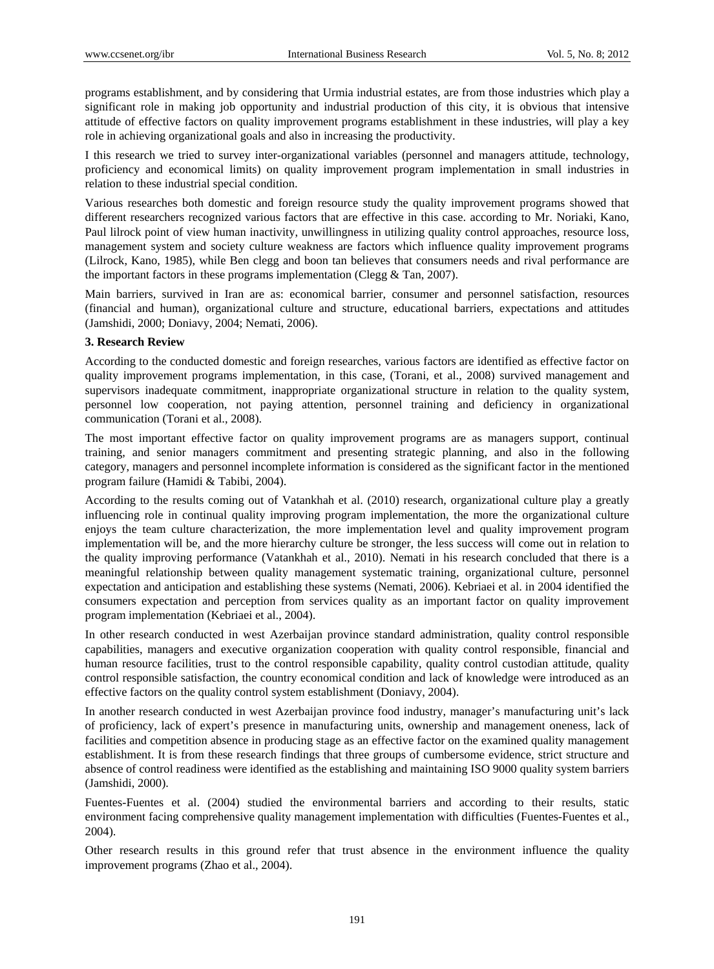programs establishment, and by considering that Urmia industrial estates, are from those industries which play a significant role in making job opportunity and industrial production of this city, it is obvious that intensive attitude of effective factors on quality improvement programs establishment in these industries, will play a key role in achieving organizational goals and also in increasing the productivity.

I this research we tried to survey inter-organizational variables (personnel and managers attitude, technology, proficiency and economical limits) on quality improvement program implementation in small industries in relation to these industrial special condition.

Various researches both domestic and foreign resource study the quality improvement programs showed that different researchers recognized various factors that are effective in this case. according to Mr. Noriaki, Kano, Paul lilrock point of view human inactivity, unwillingness in utilizing quality control approaches, resource loss, management system and society culture weakness are factors which influence quality improvement programs (Lilrock, Kano, 1985), while Ben clegg and boon tan believes that consumers needs and rival performance are the important factors in these programs implementation (Clegg & Tan, 2007).

Main barriers, survived in Iran are as: economical barrier, consumer and personnel satisfaction, resources (financial and human), organizational culture and structure, educational barriers, expectations and attitudes (Jamshidi, 2000; Doniavy, 2004; Nemati, 2006).

## **3. Research Review**

According to the conducted domestic and foreign researches, various factors are identified as effective factor on quality improvement programs implementation, in this case, (Torani, et al., 2008) survived management and supervisors inadequate commitment, inappropriate organizational structure in relation to the quality system, personnel low cooperation, not paying attention, personnel training and deficiency in organizational communication (Torani et al., 2008).

The most important effective factor on quality improvement programs are as managers support, continual training, and senior managers commitment and presenting strategic planning, and also in the following category, managers and personnel incomplete information is considered as the significant factor in the mentioned program failure (Hamidi & Tabibi, 2004).

According to the results coming out of Vatankhah et al. (2010) research, organizational culture play a greatly influencing role in continual quality improving program implementation, the more the organizational culture enjoys the team culture characterization, the more implementation level and quality improvement program implementation will be, and the more hierarchy culture be stronger, the less success will come out in relation to the quality improving performance (Vatankhah et al., 2010). Nemati in his research concluded that there is a meaningful relationship between quality management systematic training, organizational culture, personnel expectation and anticipation and establishing these systems (Nemati, 2006). Kebriaei et al. in 2004 identified the consumers expectation and perception from services quality as an important factor on quality improvement program implementation (Kebriaei et al., 2004).

In other research conducted in west Azerbaijan province standard administration, quality control responsible capabilities, managers and executive organization cooperation with quality control responsible, financial and human resource facilities, trust to the control responsible capability, quality control custodian attitude, quality control responsible satisfaction, the country economical condition and lack of knowledge were introduced as an effective factors on the quality control system establishment (Doniavy, 2004).

In another research conducted in west Azerbaijan province food industry, manager's manufacturing unit's lack of proficiency, lack of expert's presence in manufacturing units, ownership and management oneness, lack of facilities and competition absence in producing stage as an effective factor on the examined quality management establishment. It is from these research findings that three groups of cumbersome evidence, strict structure and absence of control readiness were identified as the establishing and maintaining ISO 9000 quality system barriers (Jamshidi, 2000).

Fuentes-Fuentes et al. (2004) studied the environmental barriers and according to their results, static environment facing comprehensive quality management implementation with difficulties (Fuentes-Fuentes et al., 2004).

Other research results in this ground refer that trust absence in the environment influence the quality improvement programs (Zhao et al., 2004).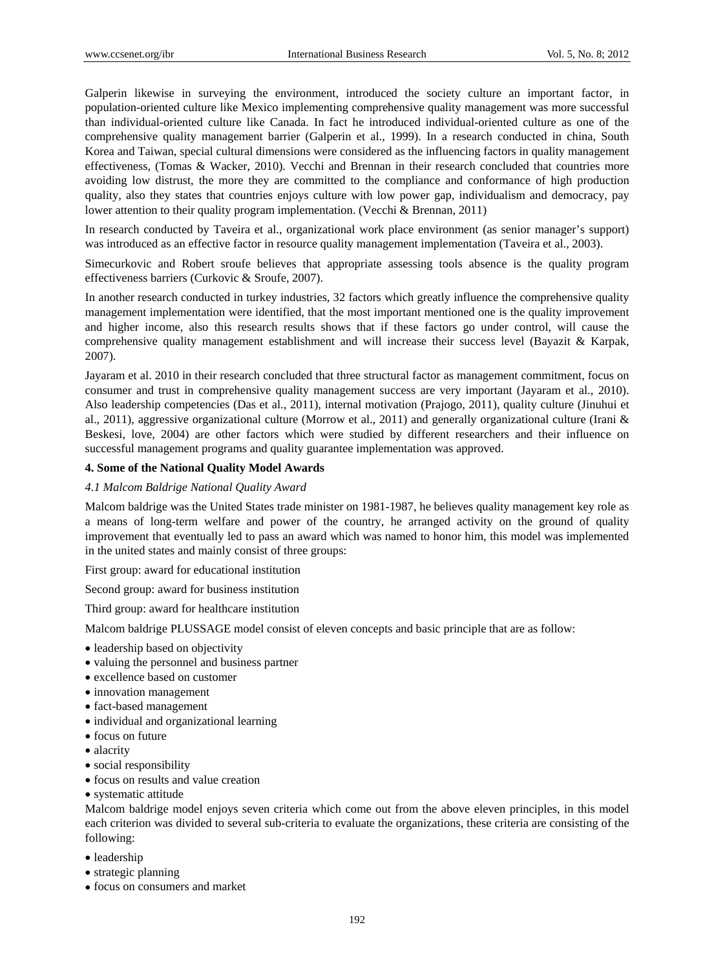Galperin likewise in surveying the environment, introduced the society culture an important factor, in population-oriented culture like Mexico implementing comprehensive quality management was more successful than individual-oriented culture like Canada. In fact he introduced individual-oriented culture as one of the comprehensive quality management barrier (Galperin et al., 1999). In a research conducted in china, South Korea and Taiwan, special cultural dimensions were considered as the influencing factors in quality management effectiveness, (Tomas & Wacker, 2010). Vecchi and Brennan in their research concluded that countries more avoiding low distrust, the more they are committed to the compliance and conformance of high production quality, also they states that countries enjoys culture with low power gap, individualism and democracy, pay lower attention to their quality program implementation. (Vecchi & Brennan, 2011)

In research conducted by Taveira et al., organizational work place environment (as senior manager's support) was introduced as an effective factor in resource quality management implementation (Taveira et al., 2003).

Simecurkovic and Robert sroufe believes that appropriate assessing tools absence is the quality program effectiveness barriers (Curkovic & Sroufe, 2007).

In another research conducted in turkey industries, 32 factors which greatly influence the comprehensive quality management implementation were identified, that the most important mentioned one is the quality improvement and higher income, also this research results shows that if these factors go under control, will cause the comprehensive quality management establishment and will increase their success level (Bayazit & Karpak, 2007).

Jayaram et al. 2010 in their research concluded that three structural factor as management commitment, focus on consumer and trust in comprehensive quality management success are very important (Jayaram et al., 2010). Also leadership competencies (Das et al., 2011), internal motivation (Prajogo, 2011), quality culture (Jinuhui et al., 2011), aggressive organizational culture (Morrow et al., 2011) and generally organizational culture (Irani & Beskesi, love, 2004) are other factors which were studied by different researchers and their influence on successful management programs and quality guarantee implementation was approved.

## **4. Some of the National Quality Model Awards**

#### *4.1 Malcom Baldrige National Quality Award*

Malcom baldrige was the United States trade minister on 1981-1987, he believes quality management key role as a means of long-term welfare and power of the country, he arranged activity on the ground of quality improvement that eventually led to pass an award which was named to honor him, this model was implemented in the united states and mainly consist of three groups:

First group: award for educational institution

Second group: award for business institution

Third group: award for healthcare institution

Malcom baldrige PLUSSAGE model consist of eleven concepts and basic principle that are as follow:

- leadership based on objectivity
- valuing the personnel and business partner
- excellence based on customer
- innovation management
- fact-based management
- individual and organizational learning
- focus on future
- alacrity
- social responsibility
- focus on results and value creation
- systematic attitude

Malcom baldrige model enjoys seven criteria which come out from the above eleven principles, in this model each criterion was divided to several sub-criteria to evaluate the organizations, these criteria are consisting of the following:

- leadership
- strategic planning
- focus on consumers and market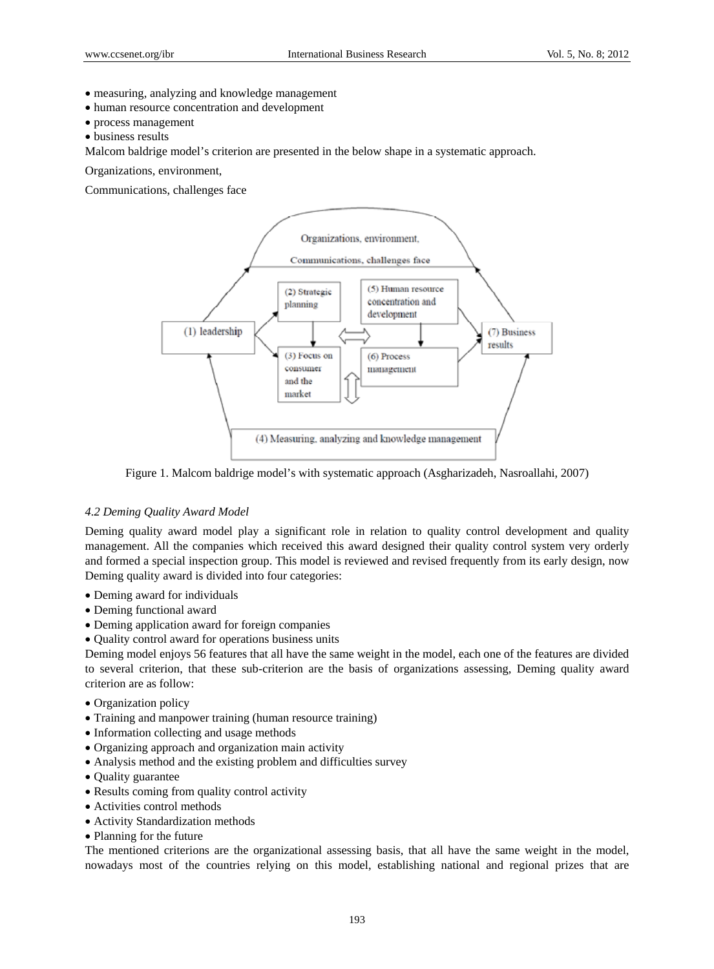- measuring, analyzing and knowledge management
- human resource concentration and development
- process management
- business results

Malcom baldrige model's criterion are presented in the below shape in a systematic approach.

Organizations, environment,

Communications, challenges face



Figure 1. Malcom baldrige model's with systematic approach (Asgharizadeh, Nasroallahi, 2007)

#### *4.2 Deming Quality Award Model*

Deming quality award model play a significant role in relation to quality control development and quality management. All the companies which received this award designed their quality control system very orderly and formed a special inspection group. This model is reviewed and revised frequently from its early design, now Deming quality award is divided into four categories:

- Deming award for individuals
- Deming functional award
- Deming application award for foreign companies
- Quality control award for operations business units

Deming model enjoys 56 features that all have the same weight in the model, each one of the features are divided to several criterion, that these sub-criterion are the basis of organizations assessing, Deming quality award criterion are as follow:

- Organization policy
- Training and manpower training (human resource training)
- Information collecting and usage methods
- Organizing approach and organization main activity
- Analysis method and the existing problem and difficulties survey
- Quality guarantee
- Results coming from quality control activity
- Activities control methods
- Activity Standardization methods
- Planning for the future

The mentioned criterions are the organizational assessing basis, that all have the same weight in the model, nowadays most of the countries relying on this model, establishing national and regional prizes that are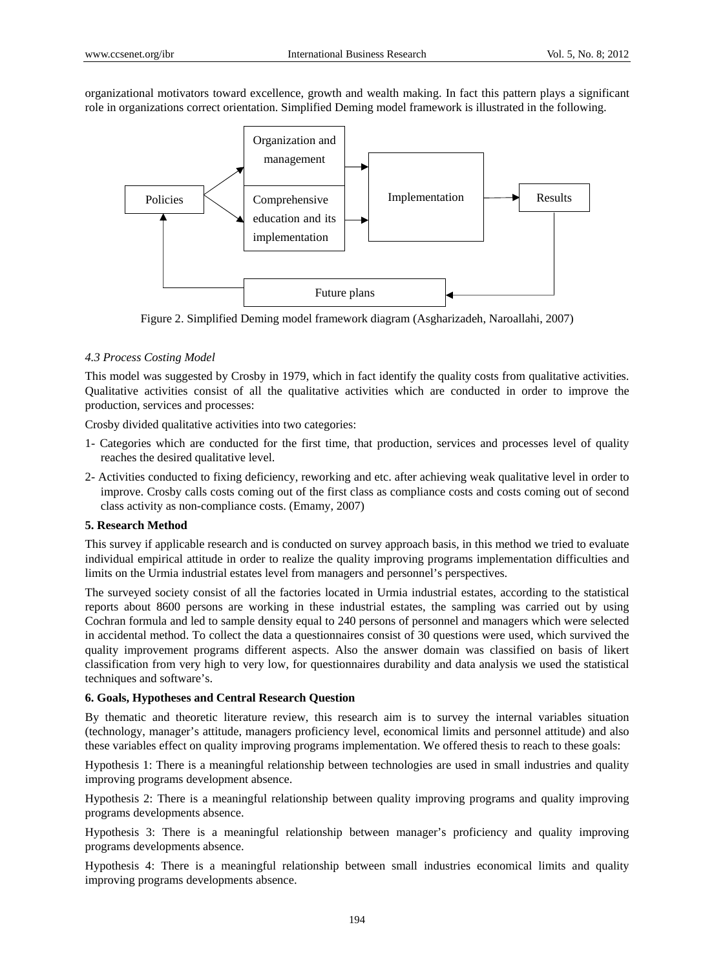organizational motivators toward excellence, growth and wealth making. In fact this pattern plays a significant role in organizations correct orientation. Simplified Deming model framework is illustrated in the following.



Figure 2. Simplified Deming model framework diagram (Asgharizadeh, Naroallahi, 2007)

# *4.3 Process Costing Model*

This model was suggested by Crosby in 1979, which in fact identify the quality costs from qualitative activities. Qualitative activities consist of all the qualitative activities which are conducted in order to improve the production, services and processes:

Crosby divided qualitative activities into two categories:

- 1- Categories which are conducted for the first time, that production, services and processes level of quality reaches the desired qualitative level.
- 2- Activities conducted to fixing deficiency, reworking and etc. after achieving weak qualitative level in order to improve. Crosby calls costs coming out of the first class as compliance costs and costs coming out of second class activity as non-compliance costs. (Emamy, 2007)

## **5. Research Method**

This survey if applicable research and is conducted on survey approach basis, in this method we tried to evaluate individual empirical attitude in order to realize the quality improving programs implementation difficulties and limits on the Urmia industrial estates level from managers and personnel's perspectives.

The surveyed society consist of all the factories located in Urmia industrial estates, according to the statistical reports about 8600 persons are working in these industrial estates, the sampling was carried out by using Cochran formula and led to sample density equal to 240 persons of personnel and managers which were selected in accidental method. To collect the data a questionnaires consist of 30 questions were used, which survived the quality improvement programs different aspects. Also the answer domain was classified on basis of likert classification from very high to very low, for questionnaires durability and data analysis we used the statistical techniques and software's.

## **6. Goals, Hypotheses and Central Research Question**

By thematic and theoretic literature review, this research aim is to survey the internal variables situation (technology, manager's attitude, managers proficiency level, economical limits and personnel attitude) and also these variables effect on quality improving programs implementation. We offered thesis to reach to these goals:

Hypothesis 1: There is a meaningful relationship between technologies are used in small industries and quality improving programs development absence.

Hypothesis 2: There is a meaningful relationship between quality improving programs and quality improving programs developments absence.

Hypothesis 3: There is a meaningful relationship between manager's proficiency and quality improving programs developments absence.

Hypothesis 4: There is a meaningful relationship between small industries economical limits and quality improving programs developments absence.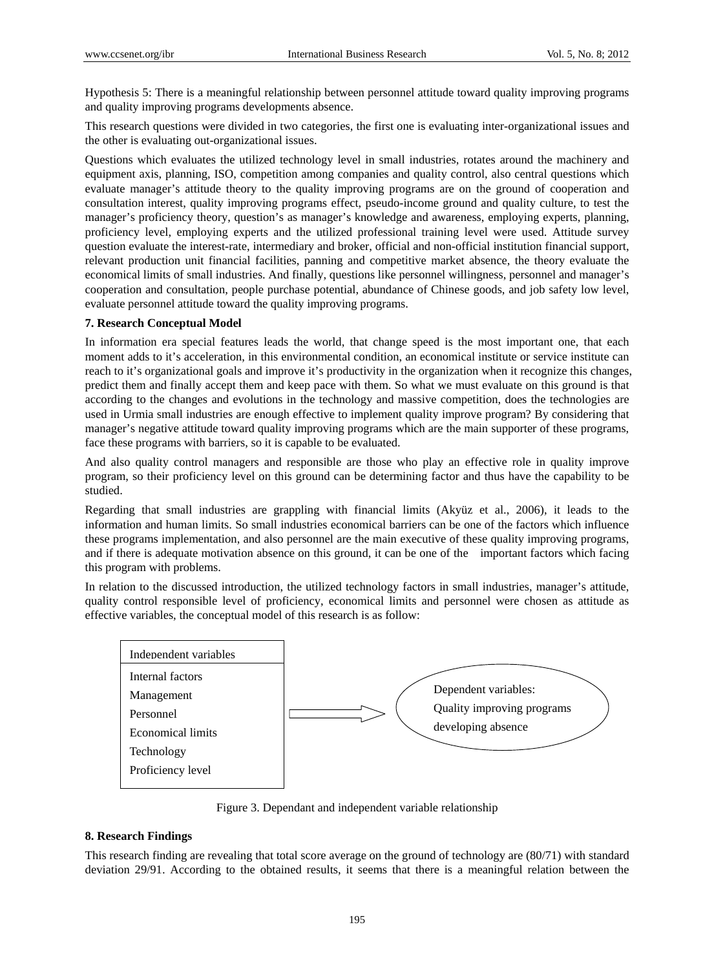Hypothesis 5: There is a meaningful relationship between personnel attitude toward quality improving programs and quality improving programs developments absence.

This research questions were divided in two categories, the first one is evaluating inter-organizational issues and the other is evaluating out-organizational issues.

Questions which evaluates the utilized technology level in small industries, rotates around the machinery and equipment axis, planning, ISO, competition among companies and quality control, also central questions which evaluate manager's attitude theory to the quality improving programs are on the ground of cooperation and consultation interest, quality improving programs effect, pseudo-income ground and quality culture, to test the manager's proficiency theory, question's as manager's knowledge and awareness, employing experts, planning, proficiency level, employing experts and the utilized professional training level were used. Attitude survey question evaluate the interest-rate, intermediary and broker, official and non-official institution financial support, relevant production unit financial facilities, panning and competitive market absence, the theory evaluate the economical limits of small industries. And finally, questions like personnel willingness, personnel and manager's cooperation and consultation, people purchase potential, abundance of Chinese goods, and job safety low level, evaluate personnel attitude toward the quality improving programs.

# **7. Research Conceptual Model**

In information era special features leads the world, that change speed is the most important one, that each moment adds to it's acceleration, in this environmental condition, an economical institute or service institute can reach to it's organizational goals and improve it's productivity in the organization when it recognize this changes, predict them and finally accept them and keep pace with them. So what we must evaluate on this ground is that according to the changes and evolutions in the technology and massive competition, does the technologies are used in Urmia small industries are enough effective to implement quality improve program? By considering that manager's negative attitude toward quality improving programs which are the main supporter of these programs, face these programs with barriers, so it is capable to be evaluated.

And also quality control managers and responsible are those who play an effective role in quality improve program, so their proficiency level on this ground can be determining factor and thus have the capability to be studied.

Regarding that small industries are grappling with financial limits (Akyüz et al., 2006), it leads to the information and human limits. So small industries economical barriers can be one of the factors which influence these programs implementation, and also personnel are the main executive of these quality improving programs, and if there is adequate motivation absence on this ground, it can be one of the important factors which facing this program with problems.

In relation to the discussed introduction, the utilized technology factors in small industries, manager's attitude, quality control responsible level of proficiency, economical limits and personnel were chosen as attitude as effective variables, the conceptual model of this research is as follow:



Figure 3. Dependant and independent variable relationship

# **8. Research Findings**

This research finding are revealing that total score average on the ground of technology are (80/71) with standard deviation 29/91. According to the obtained results, it seems that there is a meaningful relation between the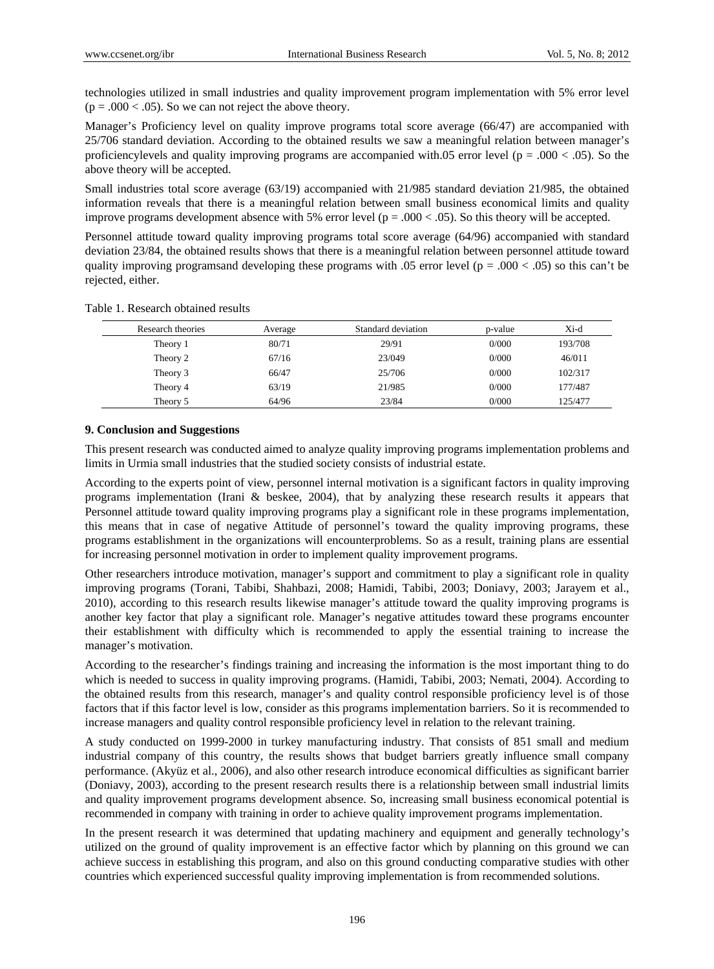technologies utilized in small industries and quality improvement program implementation with 5% error level  $(p = .000 < .05)$ . So we can not reject the above theory.

Manager's Proficiency level on quality improve programs total score average (66/47) are accompanied with 25/706 standard deviation. According to the obtained results we saw a meaningful relation between manager's proficiencylevels and quality improving programs are accompanied with.05 error level ( $p = .000 < .05$ ). So the above theory will be accepted.

Small industries total score average (63/19) accompanied with 21/985 standard deviation 21/985, the obtained information reveals that there is a meaningful relation between small business economical limits and quality improve programs development absence with 5% error level ( $p = .000 < .05$ ). So this theory will be accepted.

Personnel attitude toward quality improving programs total score average (64/96) accompanied with standard deviation 23/84, the obtained results shows that there is a meaningful relation between personnel attitude toward quality improving programs and developing these programs with .05 error level ( $p = .000 < .05$ ) so this can't be rejected, either.

| Table 1. Research obtained results |  |
|------------------------------------|--|
|------------------------------------|--|

| Research theories | Average | Standard deviation | p-value | Xi-d    |
|-------------------|---------|--------------------|---------|---------|
| Theory 1          | 80/71   | 29/91              | 0/000   | 193/708 |
| Theory 2          | 67/16   | 23/049             | 0/000   | 46/011  |
| Theory 3          | 66/47   | 25/706             | 0/000   | 102/317 |
| Theory 4          | 63/19   | 21/985             | 0/000   | 177/487 |
| Theory 5          | 64/96   | 23/84              | 0/000   | 125/477 |

#### **9. Conclusion and Suggestions**

This present research was conducted aimed to analyze quality improving programs implementation problems and limits in Urmia small industries that the studied society consists of industrial estate.

According to the experts point of view, personnel internal motivation is a significant factors in quality improving programs implementation (Irani & beskee, 2004), that by analyzing these research results it appears that Personnel attitude toward quality improving programs play a significant role in these programs implementation, this means that in case of negative Attitude of personnel's toward the quality improving programs, these programs establishment in the organizations will encounterproblems. So as a result, training plans are essential for increasing personnel motivation in order to implement quality improvement programs.

Other researchers introduce motivation, manager's support and commitment to play a significant role in quality improving programs (Torani, Tabibi, Shahbazi, 2008; Hamidi, Tabibi, 2003; Doniavy, 2003; Jarayem et al., 2010), according to this research results likewise manager's attitude toward the quality improving programs is another key factor that play a significant role. Manager's negative attitudes toward these programs encounter their establishment with difficulty which is recommended to apply the essential training to increase the manager's motivation.

According to the researcher's findings training and increasing the information is the most important thing to do which is needed to success in quality improving programs. (Hamidi, Tabibi, 2003; Nemati, 2004). According to the obtained results from this research, manager's and quality control responsible proficiency level is of those factors that if this factor level is low, consider as this programs implementation barriers. So it is recommended to increase managers and quality control responsible proficiency level in relation to the relevant training.

A study conducted on 1999-2000 in turkey manufacturing industry. That consists of 851 small and medium industrial company of this country, the results shows that budget barriers greatly influence small company performance. (Akyüz et al., 2006), and also other research introduce economical difficulties as significant barrier (Doniavy, 2003), according to the present research results there is a relationship between small industrial limits and quality improvement programs development absence. So, increasing small business economical potential is recommended in company with training in order to achieve quality improvement programs implementation.

In the present research it was determined that updating machinery and equipment and generally technology's utilized on the ground of quality improvement is an effective factor which by planning on this ground we can achieve success in establishing this program, and also on this ground conducting comparative studies with other countries which experienced successful quality improving implementation is from recommended solutions.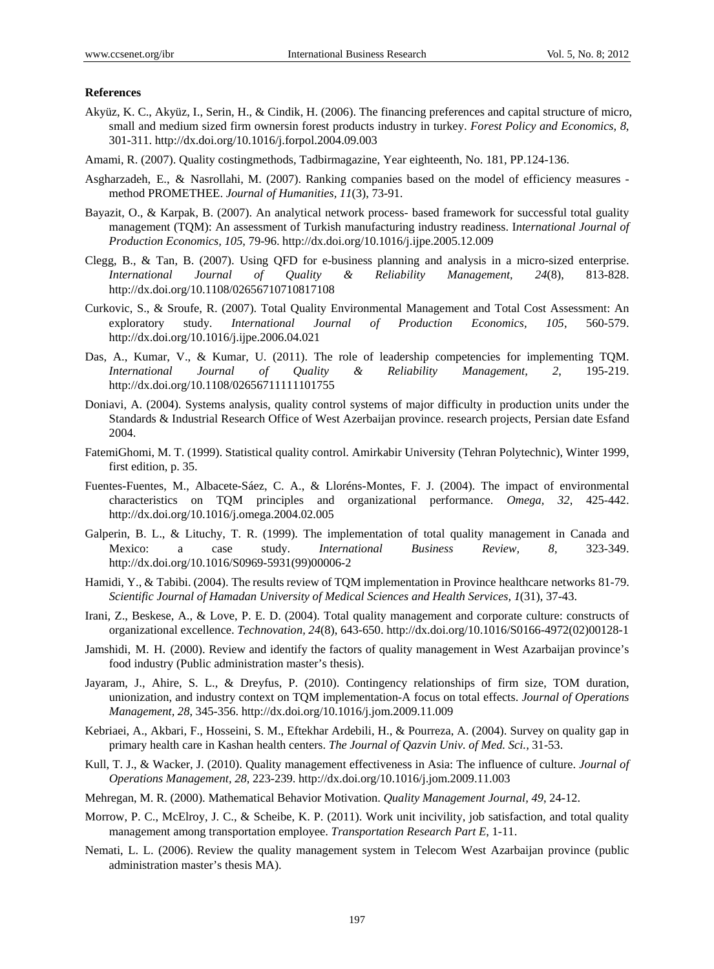#### **References**

- Akyüz, K. C., Akyüz, I., Serin, H., & Cindik, H. (2006). The financing preferences and capital structure of micro, small and medium sized firm ownersin forest products industry in turkey. *Forest Policy and Economics, 8*, 301-311. http://dx.doi.org/10.1016/j.forpol.2004.09.003
- Amami, R. (2007). Quality costingmethods, Tadbirmagazine, Year eighteenth, No. 181, PP.124-136.
- Asgharzadeh, E., & Nasrollahi, M. (2007). Ranking companies based on the model of efficiency measures method PROMETHEE. *Journal of Humanities, 11*(3), 73-91.
- Bayazit, O., & Karpak, B. (2007). An analytical network process- based framework for successful total guality management (TQM): An assessment of Turkish manufacturing industry readiness. I*nternational Journal of Production Economics, 105*, 79-96. http://dx.doi.org/10.1016/j.ijpe.2005.12.009
- Clegg, B., & Tan, B. (2007). Using QFD for e-business planning and analysis in a micro-sized enterprise. *International Journal of Quality & Reliability Management, 24*(8), 813-828. http://dx.doi.org/10.1108/02656710710817108
- Curkovic, S., & Sroufe, R. (2007). Total Quality Environmental Management and Total Cost Assessment: An exploratory study. *International Journal of Production Economics, 105*, 560-579. http://dx.doi.org/10.1016/j.ijpe.2006.04.021
- Das, A., Kumar, V., & Kumar, U. (2011). The role of leadership competencies for implementing TQM. *International Journal of Quality & Reliability Management, 2*, 195-219. http://dx.doi.org/10.1108/02656711111101755
- Doniavi, A. (2004). Systems analysis, quality control systems of major difficulty in production units under the Standards & Industrial Research Office of West Azerbaijan province. research projects, Persian date Esfand 2004.
- FatemiGhomi, M. T. (1999). Statistical quality control. Amirkabir University (Tehran Polytechnic), Winter 1999, first edition, p. 35.
- Fuentes-Fuentes, M., Albacete-Sáez, C. A., & Lloréns-Montes, F. J. (2004). The impact of environmental characteristics on TQM principles and organizational performance. *Omega, 32*, 425-442. http://dx.doi.org/10.1016/j.omega.2004.02.005
- Galperin, B. L., & Lituchy, T. R. (1999). The implementation of total quality management in Canada and Mexico: a case study. *International Business Review, 8*, 323-349. http://dx.doi.org/10.1016/S0969-5931(99)00006-2
- Hamidi, Y., & Tabibi. (2004). The results review of TQM implementation in Province healthcare networks 81-79. *Scientific Journal of Hamadan University of Medical Sciences and Health Services, 1*(31), 37-43.
- Irani, Z., Beskese, A., & Love, P. E. D. (2004). Total quality management and corporate culture: constructs of organizational excellence. *Technovation, 24*(8), 643-650. http://dx.doi.org/10.1016/S0166-4972(02)00128-1
- Jamshidi, M. H. (2000). Review and identify the factors of quality management in West Azarbaijan province's food industry (Public administration master's thesis).
- Jayaram, J., Ahire, S. L., & Dreyfus, P. (2010). Contingency relationships of firm size, TOM duration, unionization, and industry context on TQM implementation-A focus on total effects. *Journal of Operations Management, 28*, 345-356. http://dx.doi.org/10.1016/j.jom.2009.11.009
- Kebriaei, A., Akbari, F., Hosseini, S. M., Eftekhar Ardebili, H., & Pourreza, A. (2004). Survey on quality gap in primary health care in Kashan health centers. *The Journal of Qazvin Univ. of Med. Sci.,* 31-53.
- Kull, T. J., & Wacker, J. (2010). Quality management effectiveness in Asia: The influence of culture. *Journal of Operations Management, 28*, 223-239. http://dx.doi.org/10.1016/j.jom.2009.11.003
- Mehregan, M. R. (2000). Mathematical Behavior Motivation. *Quality Management Journal, 49*, 24-12.
- Morrow, P. C., McElroy, J. C., & Scheibe, K. P. (2011). Work unit incivility, job satisfaction, and total quality management among transportation employee. *Transportation Research Part E*, 1-11.
- Nemati, L. L. (2006). Review the quality management system in Telecom West Azarbaijan province (public administration master's thesis MA).